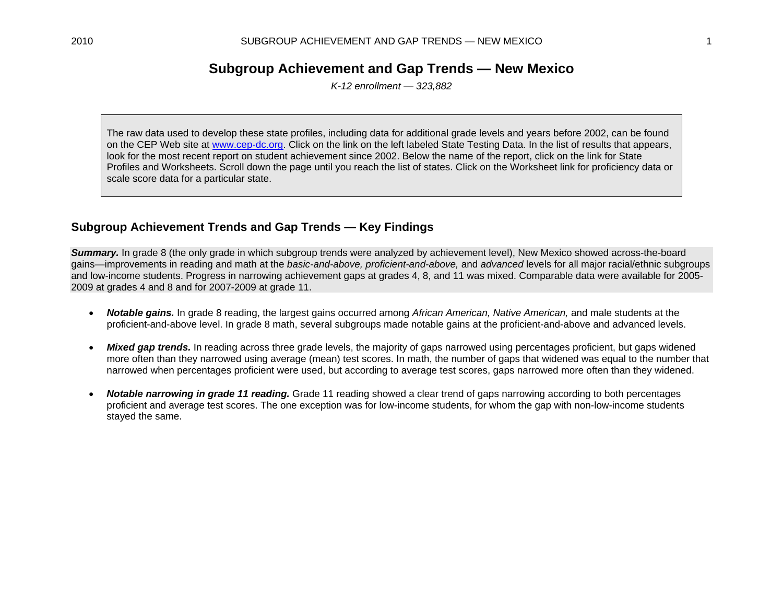# **Subgroup Achievement and Gap Trends — New Mexico**

*K-12 enrollment — 323,882* 

The raw data used to develop these state profiles, including data for additional grade levels and years before 2002, can be found on the CEP Web site at www.cep-dc.org. Click on the link on the left labeled State Testing Data. In the list of results that appears, look for the most recent report on student achievement since 2002. Below the name of the report, click on the link for State Profiles and Worksheets. Scroll down the page until you reach the list of states. Click on the Worksheet link for proficiency data or scale score data for a particular state.

## **Subgroup Achievement Trends and Gap Trends — Key Findings**

*Summary.* In grade 8 (the only grade in which subgroup trends were analyzed by achievement level), New Mexico showed across-the-board gains—improvements in reading and math at the *basic-and-above, proficient-and-above,* and *advanced* levels for all major racial/ethnic subgroups and low-income students. Progress in narrowing achievement gaps at grades 4, 8, and 11 was mixed. Comparable data were available for 2005- 2009 at grades 4 and 8 and for 2007-2009 at grade 11.

- $\bullet$  *Notable gains.* In grade 8 reading, the largest gains occurred among *African American, Native American,* and male students at the proficient-and-above level. In grade 8 math, several subgroups made notable gains at the proficient-and-above and advanced levels.
- $\bullet$ *Mixed gap trends.* In reading across three grade levels, the majority of gaps narrowed using percentages proficient, but gaps widened more often than they narrowed using average (mean) test scores. In math, the number of gaps that widened was equal to the number that narrowed when percentages proficient were used, but according to average test scores, gaps narrowed more often than they widened.
- $\bullet$  *Notable narrowing in grade 11 reading.* Grade 11 reading showed a clear trend of gaps narrowing according to both percentages proficient and average test scores. The one exception was for low-income students, for whom the gap with non-low-income students stayed the same.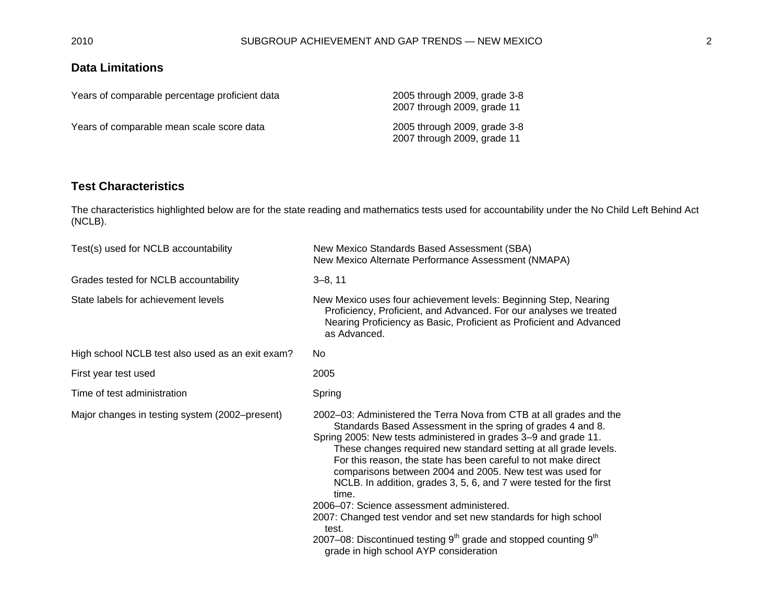## **Data Limitations**

| Years of comparable percentage proficient data | 2005 through 2009, grade 3-8<br>2007 through 2009, grade 11 |
|------------------------------------------------|-------------------------------------------------------------|
| Years of comparable mean scale score data      | 2005 through 2009, grade 3-8<br>2007 through 2009, grade 11 |

### **Test Characteristics**

The characteristics highlighted below are for the state reading and mathematics tests used for accountability under the No Child Left Behind Act (NCLB).

| Test(s) used for NCLB accountability             | New Mexico Standards Based Assessment (SBA)<br>New Mexico Alternate Performance Assessment (NMAPA)                                                                                                                                                                                                                                                                                                                                                                                                                                                                                                                                                                                                                                |
|--------------------------------------------------|-----------------------------------------------------------------------------------------------------------------------------------------------------------------------------------------------------------------------------------------------------------------------------------------------------------------------------------------------------------------------------------------------------------------------------------------------------------------------------------------------------------------------------------------------------------------------------------------------------------------------------------------------------------------------------------------------------------------------------------|
| Grades tested for NCLB accountability            | $3 - 8, 11$                                                                                                                                                                                                                                                                                                                                                                                                                                                                                                                                                                                                                                                                                                                       |
| State labels for achievement levels              | New Mexico uses four achievement levels: Beginning Step, Nearing<br>Proficiency, Proficient, and Advanced. For our analyses we treated<br>Nearing Proficiency as Basic, Proficient as Proficient and Advanced<br>as Advanced.                                                                                                                                                                                                                                                                                                                                                                                                                                                                                                     |
| High school NCLB test also used as an exit exam? | No.                                                                                                                                                                                                                                                                                                                                                                                                                                                                                                                                                                                                                                                                                                                               |
| First year test used                             | 2005                                                                                                                                                                                                                                                                                                                                                                                                                                                                                                                                                                                                                                                                                                                              |
| Time of test administration                      | Spring                                                                                                                                                                                                                                                                                                                                                                                                                                                                                                                                                                                                                                                                                                                            |
| Major changes in testing system (2002–present)   | 2002-03: Administered the Terra Nova from CTB at all grades and the<br>Standards Based Assessment in the spring of grades 4 and 8.<br>Spring 2005: New tests administered in grades 3-9 and grade 11.<br>These changes required new standard setting at all grade levels.<br>For this reason, the state has been careful to not make direct<br>comparisons between 2004 and 2005. New test was used for<br>NCLB. In addition, grades 3, 5, 6, and 7 were tested for the first<br>time.<br>2006–07: Science assessment administered.<br>2007: Changed test vendor and set new standards for high school<br>test.<br>2007–08: Discontinued testing $9th$ grade and stopped counting $9th$<br>grade in high school AYP consideration |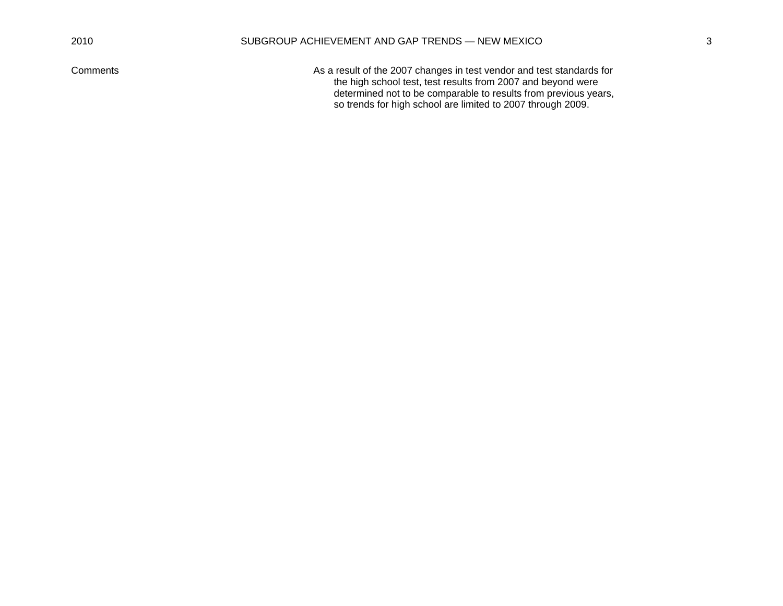Comments As a result of the 2007 changes in test vendor and test standards for the high school test, test results from 2007 and beyond were determined not to be comparable to results from previous years, so trends for high school are limited to 2007 through 2009.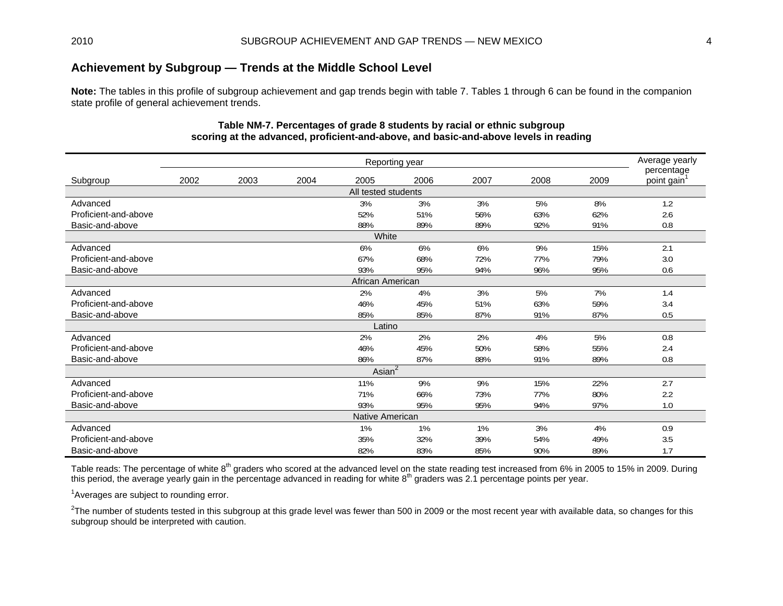## **Achievement by Subgroup — Trends at the Middle School Level**

**Note:** The tables in this profile of subgroup achievement and gap trends begin with table 7. Tables 1 through 6 can be found in the companion state profile of general achievement trends.

| Reporting year                                          |      |      |      |                     |      |      |      |      |                                       |  |  |  |
|---------------------------------------------------------|------|------|------|---------------------|------|------|------|------|---------------------------------------|--|--|--|
| Subgroup                                                | 2002 | 2003 | 2004 | 2005                | 2006 | 2007 | 2008 | 2009 | percentage<br>point gain <sup>1</sup> |  |  |  |
|                                                         |      |      |      | All tested students |      |      |      |      |                                       |  |  |  |
| Advanced                                                |      |      |      | 3%                  | 3%   | 3%   | 5%   | 8%   | 1.2                                   |  |  |  |
| Proficient-and-above                                    |      |      |      | 52%                 | 51%  | 56%  | 63%  | 62%  | 2.6                                   |  |  |  |
| Basic-and-above                                         |      |      |      | 88%                 | 89%  | 89%  | 92%  | 91%  | 0.8                                   |  |  |  |
| White                                                   |      |      |      |                     |      |      |      |      |                                       |  |  |  |
| Advanced                                                |      |      |      | 6%                  | 6%   | 6%   | 9%   | 15%  | 2.1                                   |  |  |  |
| Proficient-and-above                                    |      |      |      | 67%                 | 68%  | 72%  | 77%  | 79%  | 3.0                                   |  |  |  |
| Basic-and-above                                         |      |      |      | 93%                 | 95%  | 94%  | 96%  | 95%  | 0.6                                   |  |  |  |
|                                                         |      |      |      | African American    |      |      |      |      |                                       |  |  |  |
| Advanced                                                |      |      |      | 2%                  | 4%   | 3%   | 5%   | 7%   | 1.4                                   |  |  |  |
| Proficient-and-above                                    |      |      |      | 46%                 | 45%  | 51%  | 63%  | 59%  | 3.4                                   |  |  |  |
| Basic-and-above                                         |      |      |      | 85%                 | 85%  | 87%  | 91%  | 87%  | 0.5                                   |  |  |  |
|                                                         |      |      |      | Latino              |      |      |      |      |                                       |  |  |  |
| Advanced                                                |      |      |      | 2%                  | 2%   | 2%   | 4%   | 5%   | 0.8                                   |  |  |  |
| Proficient-and-above                                    |      |      |      | 46%                 | 45%  | 50%  | 58%  | 55%  | 2.4                                   |  |  |  |
| Basic-and-above                                         |      |      |      | 86%                 | 87%  | 88%  | 91%  | 89%  | 0.8                                   |  |  |  |
|                                                         |      |      |      | Asian $^2$          |      |      |      |      |                                       |  |  |  |
| Advanced                                                |      |      |      | 11%                 | 9%   | 9%   | 15%  | 22%  | 2.7                                   |  |  |  |
| Proficient-and-above                                    |      |      |      | 71%                 | 66%  | 73%  | 77%  | 80%  | 2.2                                   |  |  |  |
| Basic-and-above                                         |      |      |      | 93%                 | 95%  | 95%  | 94%  | 97%  | 1.0                                   |  |  |  |
|                                                         |      |      |      | Native American     |      |      |      |      |                                       |  |  |  |
| Advanced                                                |      |      |      | 1%                  | 1%   | 1%   | 3%   | 4%   | 0.9                                   |  |  |  |
| 35%<br>32%<br>39%<br>54%<br>49%<br>Proficient-and-above |      |      |      |                     |      |      |      |      |                                       |  |  |  |
| Basic-and-above                                         |      |      |      | 82%                 | 83%  | 85%  | 90%  | 89%  | 1.7                                   |  |  |  |

#### **Table NM-7. Percentages of grade 8 students by racial or ethnic subgroup scoring at the advanced, proficient-and-above, and basic-and-above levels in reading**

Table reads: The percentage of white 8<sup>th</sup> graders who scored at the advanced level on the state reading test increased from 6% in 2005 to 15% in 2009. During this period, the average yearly gain in the percentage advanced in reading for white 8th graders was 2.1 percentage points per year.

<sup>1</sup> Averages are subject to rounding error.

 $2$ The number of students tested in this subgroup at this grade level was fewer than 500 in 2009 or the most recent year with available data, so changes for this subgroup should be interpreted with caution.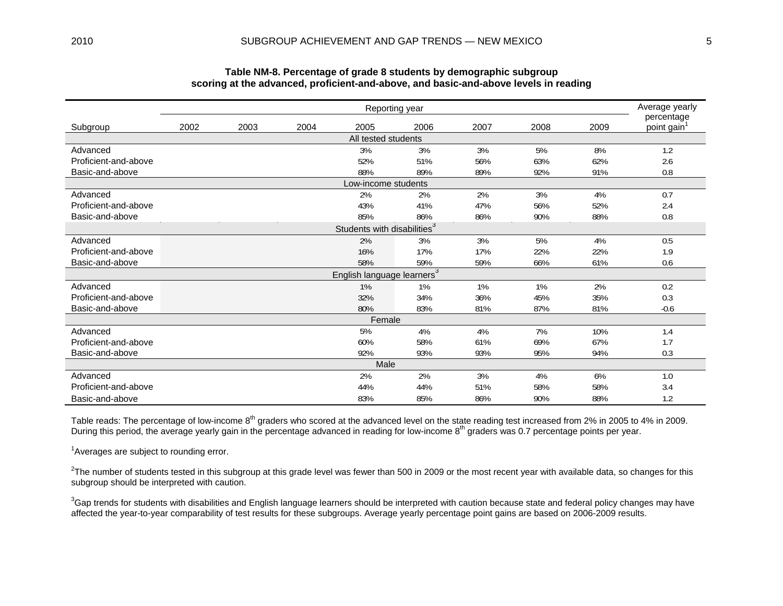|                      | Reporting year                  |      |      |                                         |      |      |      |      |                                       |  |  |  |  |
|----------------------|---------------------------------|------|------|-----------------------------------------|------|------|------|------|---------------------------------------|--|--|--|--|
| Subgroup             | 2002                            | 2003 | 2004 | 2005                                    | 2006 | 2007 | 2008 | 2009 | percentage<br>point gain <sup>1</sup> |  |  |  |  |
|                      |                                 |      |      | All tested students                     |      |      |      |      |                                       |  |  |  |  |
| Advanced             |                                 |      |      | 3%                                      | 3%   | 3%   | 5%   | 8%   | 1.2                                   |  |  |  |  |
| Proficient-and-above |                                 |      |      | 52%                                     | 51%  | 56%  | 63%  | 62%  | 2.6                                   |  |  |  |  |
| Basic-and-above      | 88%<br>89%<br>89%<br>92%<br>91% |      |      |                                         |      |      |      |      |                                       |  |  |  |  |
| Low-income students  |                                 |      |      |                                         |      |      |      |      |                                       |  |  |  |  |
| Advanced             |                                 |      |      | 2%                                      | 2%   | 2%   | 3%   | 4%   | 0.7                                   |  |  |  |  |
| Proficient-and-above |                                 |      |      | 43%                                     | 41%  | 47%  | 56%  | 52%  | 2.4                                   |  |  |  |  |
| Basic-and-above      |                                 |      |      | 85%                                     | 86%  | 86%  | 90%  | 88%  | 0.8                                   |  |  |  |  |
|                      |                                 |      |      | Students with disabilities <sup>3</sup> |      |      |      |      |                                       |  |  |  |  |
| Advanced             |                                 |      |      | 2%                                      | 3%   | 3%   | 5%   | 4%   | 0.5                                   |  |  |  |  |
| Proficient-and-above |                                 |      |      | 16%                                     | 17%  | 17%  | 22%  | 22%  | 1.9                                   |  |  |  |  |
| Basic-and-above      |                                 |      |      | 58%                                     | 59%  | 59%  | 66%  | 61%  | 0.6                                   |  |  |  |  |
|                      |                                 |      |      | English language learners <sup>3</sup>  |      |      |      |      |                                       |  |  |  |  |
| Advanced             |                                 |      |      | 1%                                      | 1%   | 1%   | 1%   | 2%   | 0.2                                   |  |  |  |  |
| Proficient-and-above |                                 |      |      | 32%                                     | 34%  | 36%  | 45%  | 35%  | 0.3                                   |  |  |  |  |
| Basic-and-above      |                                 |      |      | 80%                                     | 83%  | 81%  | 87%  | 81%  | $-0.6$                                |  |  |  |  |
|                      |                                 |      |      | Female                                  |      |      |      |      |                                       |  |  |  |  |
| Advanced             |                                 |      |      | 5%                                      | 4%   | 4%   | 7%   | 10%  | 1.4                                   |  |  |  |  |
| Proficient-and-above |                                 |      |      | 60%                                     | 58%  | 61%  | 69%  | 67%  | 1.7                                   |  |  |  |  |
| Basic-and-above      |                                 |      |      | 92%                                     | 93%  | 93%  | 95%  | 94%  | 0.3                                   |  |  |  |  |
|                      |                                 |      |      | Male                                    |      |      |      |      |                                       |  |  |  |  |
| Advanced             |                                 |      |      | 2%                                      | 2%   | 3%   | 4%   | 6%   | 1.0                                   |  |  |  |  |
| Proficient-and-above |                                 |      |      | 44%                                     | 44%  | 51%  | 58%  | 58%  | 3.4                                   |  |  |  |  |
| Basic-and-above      |                                 |      |      | 83%                                     | 85%  | 86%  | 90%  | 88%  | 1.2                                   |  |  |  |  |

#### **Table NM-8. Percentage of grade 8 students by demographic subgroup scoring at the advanced, proficient-and-above, and basic-and-above levels in reading**

Table reads: The percentage of low-income 8<sup>th</sup> graders who scored at the advanced level on the state reading test increased from 2% in 2005 to 4% in 2009. During this period, the average yearly gain in the percentage advanced in reading for low-income 8<sup>th</sup> graders was 0.7 percentage points per year.

<sup>1</sup> Averages are subject to rounding error.

 $2$ The number of students tested in this subgroup at this grade level was fewer than 500 in 2009 or the most recent year with available data, so changes for this subgroup should be interpreted with caution.

<sup>3</sup>Gap trends for students with disabilities and English language learners should be interpreted with caution because state and federal policy changes may have affected the year-to-year comparability of test results for these subgroups. Average yearly percentage point gains are based on 2006-2009 results.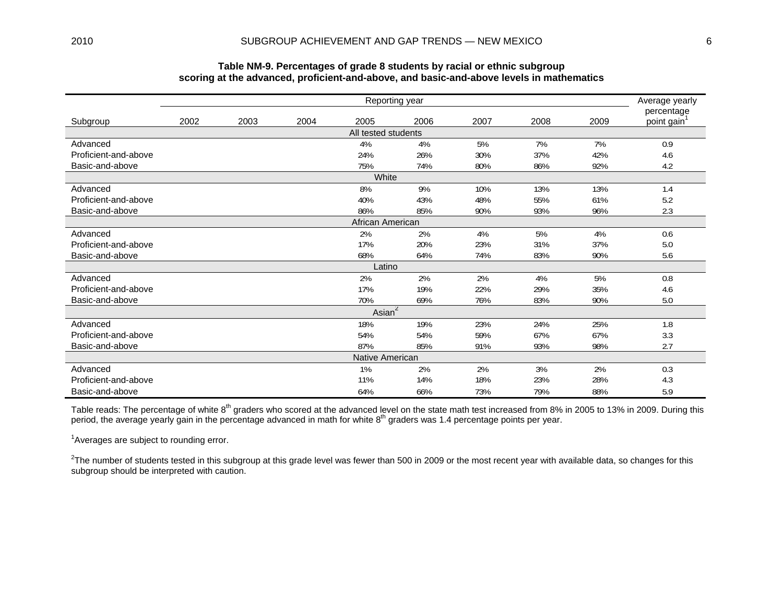| 30011119 at the auvanced, proncism-and-above, and basic-and-above icvers in mathematics<br>Reporting year |       |                                 |      |                      |      |      |      |      |                                       |  |  |  |  |  |  |
|-----------------------------------------------------------------------------------------------------------|-------|---------------------------------|------|----------------------|------|------|------|------|---------------------------------------|--|--|--|--|--|--|
|                                                                                                           |       |                                 |      |                      |      |      |      |      | Average yearly                        |  |  |  |  |  |  |
| Subgroup                                                                                                  | 2002  | 2003                            | 2004 | 2005                 | 2006 | 2007 | 2008 | 2009 | percentage<br>point gain <sup>1</sup> |  |  |  |  |  |  |
|                                                                                                           |       |                                 |      | All tested students  |      |      |      |      |                                       |  |  |  |  |  |  |
| Advanced                                                                                                  |       |                                 |      | 4%                   | 4%   | 5%   | 7%   | 7%   | 0.9                                   |  |  |  |  |  |  |
| Proficient-and-above                                                                                      |       |                                 |      | 24%                  | 26%  | 30%  | 37%  | 42%  | 4.6                                   |  |  |  |  |  |  |
| Basic-and-above                                                                                           |       | 75%<br>74%<br>86%<br>92%<br>80% |      |                      |      |      |      |      |                                       |  |  |  |  |  |  |
|                                                                                                           | White |                                 |      |                      |      |      |      |      |                                       |  |  |  |  |  |  |
| Advanced                                                                                                  |       |                                 |      | 8%                   | 9%   | 10%  | 13%  | 13%  | 1.4                                   |  |  |  |  |  |  |
| Proficient-and-above                                                                                      |       |                                 |      | 40%                  | 43%  | 48%  | 55%  | 61%  | 5.2                                   |  |  |  |  |  |  |
| Basic-and-above                                                                                           |       |                                 |      | 86%                  | 85%  | 90%  | 93%  | 96%  | 2.3                                   |  |  |  |  |  |  |
|                                                                                                           |       |                                 |      | African American     |      |      |      |      |                                       |  |  |  |  |  |  |
| Advanced                                                                                                  |       |                                 |      | 2%                   | 2%   | 4%   | 5%   | 4%   | 0.6                                   |  |  |  |  |  |  |
| Proficient-and-above                                                                                      |       |                                 |      | 17%                  | 20%  | 23%  | 31%  | 37%  | 5.0                                   |  |  |  |  |  |  |
| Basic-and-above                                                                                           |       |                                 |      | 68%                  | 64%  | 74%  | 83%  | 90%  | 5.6                                   |  |  |  |  |  |  |
|                                                                                                           |       |                                 |      | Latino               |      |      |      |      |                                       |  |  |  |  |  |  |
| Advanced                                                                                                  |       |                                 |      | 2%                   | 2%   | 2%   | 4%   | 5%   | 0.8                                   |  |  |  |  |  |  |
| Proficient-and-above                                                                                      |       |                                 |      | 17%                  | 19%  | 22%  | 29%  | 35%  | 4.6                                   |  |  |  |  |  |  |
| Basic-and-above                                                                                           |       |                                 |      | 70%                  | 69%  | 76%  | 83%  | 90%  | 5.0                                   |  |  |  |  |  |  |
|                                                                                                           |       |                                 |      | Asian $\overline{2}$ |      |      |      |      |                                       |  |  |  |  |  |  |
| Advanced                                                                                                  |       |                                 |      | 18%                  | 19%  | 23%  | 24%  | 25%  | 1.8                                   |  |  |  |  |  |  |
| Proficient-and-above                                                                                      |       |                                 |      | 54%                  | 54%  | 59%  | 67%  | 67%  | 3.3                                   |  |  |  |  |  |  |
| Basic-and-above                                                                                           |       |                                 |      | 87%                  | 85%  | 91%  | 93%  | 98%  | 2.7                                   |  |  |  |  |  |  |
|                                                                                                           |       |                                 |      | Native American      |      |      |      |      |                                       |  |  |  |  |  |  |
| Advanced                                                                                                  |       |                                 |      | 1%                   | 2%   | 2%   | 3%   | 2%   | 0.3                                   |  |  |  |  |  |  |
| Proficient-and-above                                                                                      |       |                                 |      | 11%                  | 14%  | 18%  | 23%  | 28%  | 4.3                                   |  |  |  |  |  |  |
| Basic-and-above                                                                                           |       |                                 |      | 64%                  | 66%  | 73%  | 79%  | 88%  | 5.9                                   |  |  |  |  |  |  |

#### **Table NM-9. Percentages of grade 8 students by racial or ethnic subgroup scoring at the advanced, proficient-and-above, and basic-and-above levels in mathematics**

Table reads: The percentage of white 8<sup>th</sup> graders who scored at the advanced level on the state math test increased from 8% in 2005 to 13% in 2009. During this period, the average yearly gain in the percentage advanced in math for white 8<sup>th</sup> graders was 1.4 percentage points per year.

<sup>1</sup> Averages are subject to rounding error.

 $2$ The number of students tested in this subgroup at this grade level was fewer than 500 in 2009 or the most recent year with available data, so changes for this subgroup should be interpreted with caution.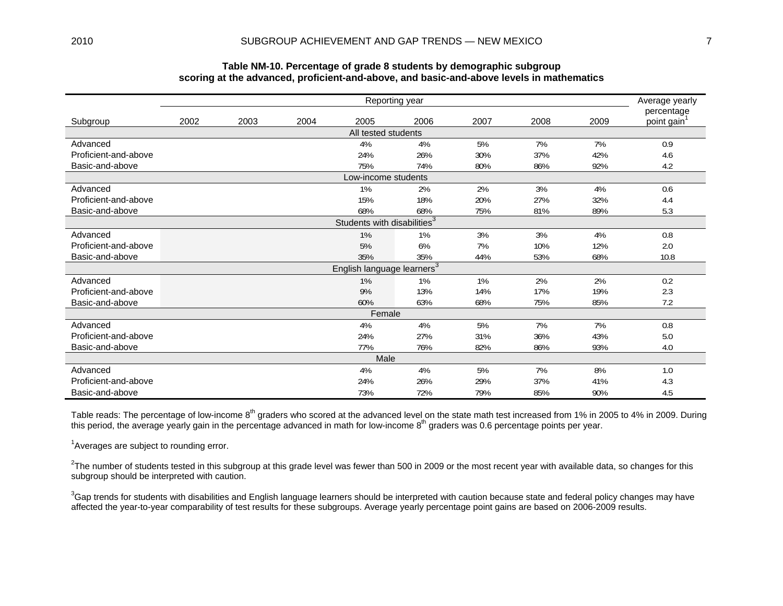|                      |                                                 |      |      | sooring at the auvanous, pronoism and above, and basic and above idvers in mathematics |                |      |      |      |                          |  |  |  |  |  |
|----------------------|-------------------------------------------------|------|------|----------------------------------------------------------------------------------------|----------------|------|------|------|--------------------------|--|--|--|--|--|
|                      |                                                 |      |      |                                                                                        | Reporting year |      |      |      | Average yearly           |  |  |  |  |  |
| Subgroup             | 2002                                            | 2003 | 2004 | 2005                                                                                   | 2006           | 2007 | 2008 | 2009 | percentage<br>point gain |  |  |  |  |  |
|                      |                                                 |      |      | All tested students                                                                    |                |      |      |      |                          |  |  |  |  |  |
| Advanced             |                                                 |      |      | 4%                                                                                     | 4%             | 5%   | 7%   | 7%   | 0.9                      |  |  |  |  |  |
| Proficient-and-above |                                                 |      |      | 24%                                                                                    | 26%            | 30%  | 37%  | 42%  | 4.6                      |  |  |  |  |  |
| Basic-and-above      |                                                 |      |      | 75%                                                                                    | 74%            | 80%  | 86%  | 92%  | 4.2                      |  |  |  |  |  |
|                      | Low-income students                             |      |      |                                                                                        |                |      |      |      |                          |  |  |  |  |  |
| Advanced             | 1%<br>2%<br>3%<br>2%<br>4%<br>0.6<br>15%<br>18% |      |      |                                                                                        |                |      |      |      |                          |  |  |  |  |  |
| Proficient-and-above |                                                 |      |      |                                                                                        |                | 20%  | 27%  | 32%  | 4.4                      |  |  |  |  |  |
| Basic-and-above      |                                                 |      |      | 68%                                                                                    | 68%            | 75%  | 81%  | 89%  | 5.3                      |  |  |  |  |  |
|                      | Students with disabilities <sup>3</sup>         |      |      |                                                                                        |                |      |      |      |                          |  |  |  |  |  |
| Advanced             |                                                 |      |      | 1%                                                                                     | 1%             | 3%   | 3%   | 4%   | 0.8                      |  |  |  |  |  |
| Proficient-and-above |                                                 |      |      | 5%                                                                                     | 6%             | 7%   | 10%  | 12%  | 2.0                      |  |  |  |  |  |
| Basic-and-above      |                                                 |      |      | 35%                                                                                    | 35%            | 44%  | 53%  | 68%  | 10.8                     |  |  |  |  |  |
|                      |                                                 |      |      | English language learners <sup>3</sup>                                                 |                |      |      |      |                          |  |  |  |  |  |
| Advanced             |                                                 |      |      | 1%                                                                                     | 1%             | 1%   | 2%   | 2%   | 0.2                      |  |  |  |  |  |
| Proficient-and-above |                                                 |      |      | 9%                                                                                     | 13%            | 14%  | 17%  | 19%  | 2.3                      |  |  |  |  |  |
| Basic-and-above      |                                                 |      |      | 60%                                                                                    | 63%            | 68%  | 75%  | 85%  | 7.2                      |  |  |  |  |  |
|                      |                                                 |      |      | Female                                                                                 |                |      |      |      |                          |  |  |  |  |  |
| Advanced             |                                                 |      |      | 4%                                                                                     | 4%             | 5%   | 7%   | 7%   | 0.8                      |  |  |  |  |  |
| Proficient-and-above |                                                 |      |      | 24%                                                                                    | 27%            | 31%  | 36%  | 43%  | 5.0                      |  |  |  |  |  |
| Basic-and-above      |                                                 |      |      | 77%                                                                                    | 76%            | 82%  | 86%  | 93%  | 4.0                      |  |  |  |  |  |
|                      |                                                 |      |      | Male                                                                                   |                |      |      |      |                          |  |  |  |  |  |
| Advanced             |                                                 |      |      | 4%                                                                                     | 4%             | 5%   | 7%   | 8%   | 1.0                      |  |  |  |  |  |
| Proficient-and-above |                                                 |      |      | 24%                                                                                    | 26%            | 29%  | 37%  | 41%  | 4.3                      |  |  |  |  |  |
| Basic-and-above      |                                                 |      |      | 73%                                                                                    | 72%            | 79%  | 85%  | 90%  | 4.5                      |  |  |  |  |  |

#### **Table NM-10. Percentage of grade 8 students by demographic subgroup scoring at the advanced, proficient-and-above, and basic-and-above levels in mathematics**

Table reads: The percentage of low-income 8<sup>th</sup> graders who scored at the advanced level on the state math test increased from 1% in 2005 to 4% in 2009. During this period, the average yearly gain in the percentage advanced in math for low-income 8<sup>th</sup> graders was 0.6 percentage points per year.

<sup>1</sup> Averages are subject to rounding error.

 $2$ The number of students tested in this subgroup at this grade level was fewer than 500 in 2009 or the most recent year with available data, so changes for this subgroup should be interpreted with caution.

<sup>3</sup>Gap trends for students with disabilities and English language learners should be interpreted with caution because state and federal policy changes may have affected the year-to-year comparability of test results for these subgroups. Average yearly percentage point gains are based on 2006-2009 results.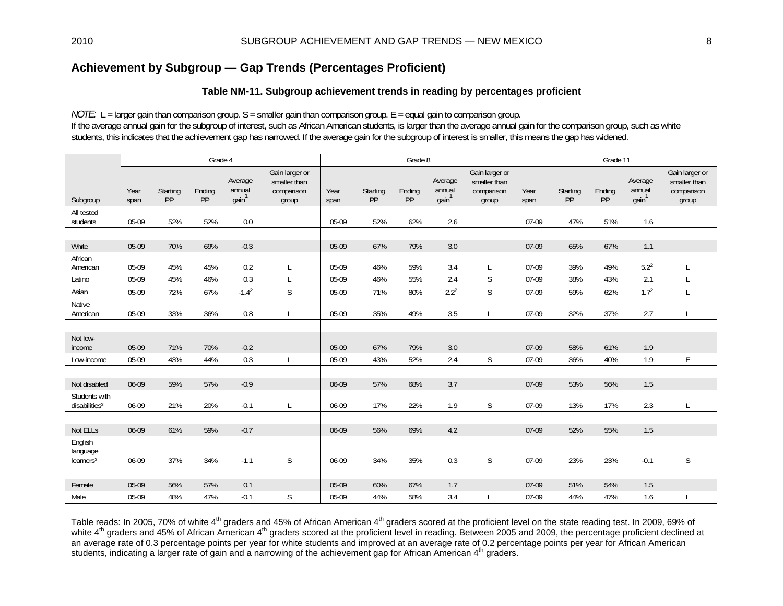# **Achievement by Subgroup — Gap Trends (Percentages Proficient)**

### **Table NM-11. Subgroup achievement trends in reading by percentages proficient**

*NOTE:* L = larger gain than comparison group. S = smaller gain than comparison group. E = equal gain to comparison group. If the average annual gain for the subgroup of interest, such as African American students, is larger than the average annual gain for the comparison group, such as white students, this indicates that the achievement gap has narrowed. If the average gain for the subgroup of interest is smaller, this means the gap has widened.

|                                              |              |                | Grade 4      |                                        |                                                       |              |                | Grade 8      |                                        |                                                       |              |                | Grade 11     |                                        |                                                       |
|----------------------------------------------|--------------|----------------|--------------|----------------------------------------|-------------------------------------------------------|--------------|----------------|--------------|----------------------------------------|-------------------------------------------------------|--------------|----------------|--------------|----------------------------------------|-------------------------------------------------------|
| Subgroup                                     | Year<br>span | Starting<br>PP | Ending<br>PP | Average<br>annual<br>gain <sup>1</sup> | Gain larger or<br>smaller than<br>comparison<br>group | Year<br>span | Starting<br>PP | Ending<br>PP | Average<br>annual<br>gain <sup>1</sup> | Gain larger or<br>smaller than<br>comparison<br>group | Year<br>span | Starting<br>PP | Ending<br>PP | Average<br>annual<br>gain <sup>1</sup> | Gain larger or<br>smaller than<br>comparison<br>group |
| All tested<br>students                       | 05-09        | 52%            | 52%          | 0.0                                    |                                                       | 05-09        | 52%            | 62%          | 2.6                                    |                                                       | 07-09        | 47%            | 51%          | 1.6                                    |                                                       |
|                                              |              |                |              |                                        |                                                       |              |                |              |                                        |                                                       |              |                |              |                                        |                                                       |
| White                                        | 05-09        | 70%            | 69%          | $-0.3$                                 |                                                       | 05-09        | 67%            | 79%          | 3.0                                    |                                                       | 07-09        | 65%            | 67%          | 1.1                                    |                                                       |
| African<br>American                          | 05-09        | 45%            | 45%          | 0.2                                    |                                                       | 05-09        | 46%            | 59%          | 3.4                                    | L                                                     | 07-09        | 39%            | 49%          | 5.2 <sup>2</sup>                       |                                                       |
| Latino                                       | 05-09        | 45%            | 46%          | 0.3                                    | L                                                     | 05-09        | 46%            | 55%          | 2.4                                    | S                                                     | $07-09$      | 38%            | 43%          | 2.1                                    |                                                       |
| Asian                                        | 05-09        | 72%            | 67%          | $-1.42$                                | $\mathsf S$                                           | 05-09        | 71%            | 80%          | $2.2^{2}$                              | $\mathsf S$                                           | 07-09        | 59%            | 62%          | 1.7 <sup>2</sup>                       | L                                                     |
| Native<br>American                           | 05-09        | 33%            | 36%          | 0.8                                    |                                                       | 05-09        | 35%            | 49%          | 3.5                                    | $\mathsf{L}$                                          | 07-09        | 32%            | 37%          | 2.7                                    | L                                                     |
|                                              |              |                |              |                                        |                                                       |              |                |              |                                        |                                                       |              |                |              |                                        |                                                       |
| Not low-<br>income                           | 05-09        | 71%            | 70%          | $-0.2$                                 |                                                       | 05-09        | 67%            | 79%          | 3.0                                    |                                                       | $07-09$      | 58%            | 61%          | 1.9                                    |                                                       |
| Low-income                                   | 05-09        | 43%            | 44%          | 0.3                                    | L                                                     | 05-09        | 43%            | 52%          | 2.4                                    | S                                                     | 07-09        | 36%            | 40%          | 1.9                                    | E                                                     |
|                                              |              |                |              |                                        |                                                       |              |                |              |                                        |                                                       |              |                |              |                                        |                                                       |
| Not disabled                                 | 06-09        | 59%            | 57%          | $-0.9$                                 |                                                       | 06-09        | 57%            | 68%          | 3.7                                    |                                                       | 07-09        | 53%            | 56%          | 1.5                                    |                                                       |
| Students with<br>disabilities <sup>3</sup>   | 06-09        | 21%            | 20%          | $-0.1$                                 |                                                       | 06-09        | 17%            | 22%          | 1.9                                    | S                                                     | 07-09        | 13%            | 17%          | 2.3                                    | L                                                     |
|                                              |              |                |              |                                        |                                                       |              |                |              |                                        |                                                       |              |                |              |                                        |                                                       |
| Not ELLs                                     | 06-09        | 61%            | 59%          | $-0.7$                                 |                                                       | 06-09        | 56%            | 69%          | 4.2                                    |                                                       | 07-09        | 52%            | 55%          | 1.5                                    |                                                       |
| English<br>language<br>learners <sup>3</sup> | 06-09        | 37%            | 34%          | $-1.1$                                 | S                                                     | 06-09        | 34%            | 35%          | 0.3                                    | S                                                     | 07-09        | 23%            | 23%          | $-0.1$                                 | $\mathsf S$                                           |
|                                              |              |                |              |                                        |                                                       |              |                |              |                                        |                                                       |              |                |              |                                        |                                                       |
| Female                                       | 05-09        | 56%            | 57%          | 0.1                                    |                                                       | 05-09        | 60%            | 67%          | 1.7                                    |                                                       | 07-09        | 51%            | 54%          | 1.5                                    |                                                       |
| Male                                         | 05-09        | 48%            | 47%          | $-0.1$                                 | S                                                     | 05-09        | 44%            | 58%          | 3.4                                    |                                                       | 07-09        | 44%            | 47%          | 1.6                                    | L                                                     |

Table reads: In 2005, 70% of white 4<sup>th</sup> graders and 45% of African American 4<sup>th</sup> graders scored at the proficient level on the state reading test. In 2009, 69% of white 4<sup>th</sup> graders and 45% of African American 4<sup>th</sup> graders scored at the proficient level in reading. Between 2005 and 2009, the percentage proficient declined at an average rate of 0.3 percentage points per year for white students and improved at an average rate of 0.2 percentage points per year for African American students, indicating a larger rate of gain and a narrowing of the achievement gap for African American 4<sup>th</sup> graders.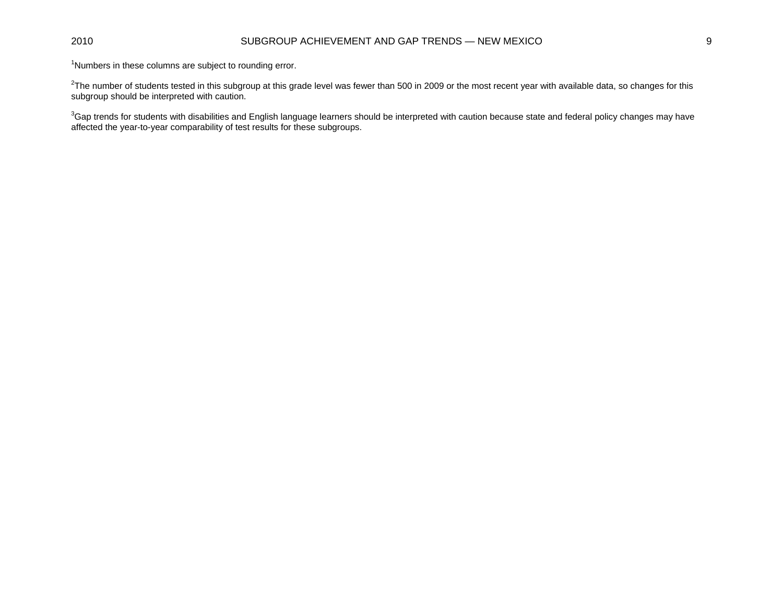### 2010 SUBGROUP ACHIEVEMENT AND GAP TRENDS — NEW MEXICO 9

<sup>1</sup>Numbers in these columns are subject to rounding error.

 $^{2}$ The number of students tested in this subgroup at this grade level was fewer than 500 in 2009 or the most recent year with available data, so changes for this subgroup should be interpreted with caution.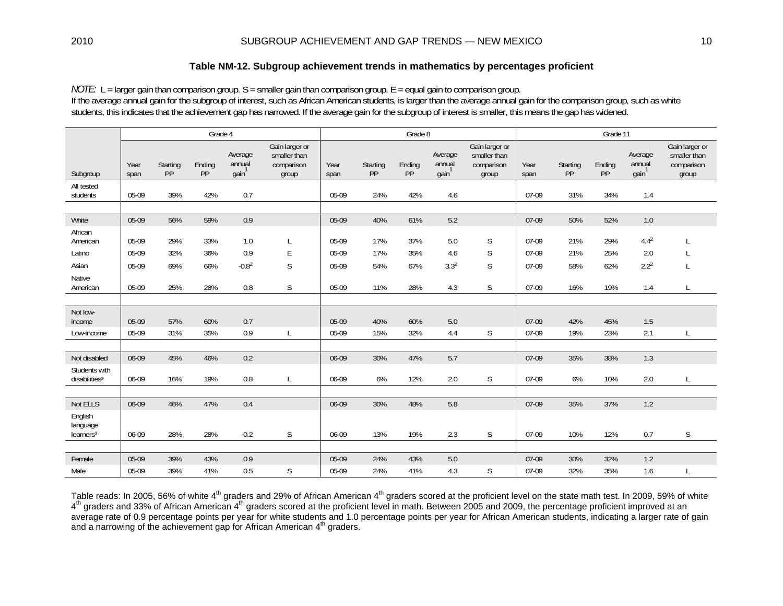*NOTE:* L = larger gain than comparison group. S = smaller gain than comparison group. E = equal gain to comparison group. If the average annual gain for the subgroup of interest, such as African American students, is larger than the average annual gain for the comparison group, such as white students, this indicates that the achievement gap has narrowed. If the average gain for the subgroup of interest is smaller, this means the gap has widened.

|                                              |              |                | Grade 4      |                                        |                                                       |              |                | Grade 8      |                                        |                                                       | Grade 11     |                |              |                                        |                                                       |  |
|----------------------------------------------|--------------|----------------|--------------|----------------------------------------|-------------------------------------------------------|--------------|----------------|--------------|----------------------------------------|-------------------------------------------------------|--------------|----------------|--------------|----------------------------------------|-------------------------------------------------------|--|
| Subgroup                                     | Year<br>span | Starting<br>PP | Ending<br>PP | Average<br>annual<br>gain <sup>1</sup> | Gain larger or<br>smaller than<br>comparison<br>group | Year<br>span | Starting<br>PP | Ending<br>PP | Average<br>annual<br>gain <sup>1</sup> | Gain larger or<br>smaller than<br>comparison<br>group | Year<br>span | Starting<br>PP | Ending<br>PP | Average<br>annual<br>gain <sup>1</sup> | Gain larger or<br>smaller than<br>comparison<br>group |  |
| All tested<br>students                       | 05-09        | 39%            | 42%          | 0.7                                    |                                                       | 05-09        | 24%            | 42%          | 4.6                                    |                                                       | $07-09$      | 31%            | 34%          | 1.4                                    |                                                       |  |
|                                              |              |                |              |                                        |                                                       |              |                |              |                                        |                                                       |              |                |              |                                        |                                                       |  |
| White                                        | 05-09        | 56%            | 59%          | 0.9                                    |                                                       | 05-09        | 40%            | 61%          | 5.2                                    |                                                       | 07-09        | 50%            | 52%          | 1.0                                    |                                                       |  |
| African<br>American                          | 05-09        | 29%            | 33%          | 1.0                                    | L                                                     | 05-09        | 17%            | 37%          | 5.0                                    | S                                                     | 07-09        | 21%            | 29%          | $4.4^{2}$                              |                                                       |  |
| Latino                                       | 05-09        | 32%            | 36%          | 0.9                                    | Е                                                     | 05-09        | 17%            | 35%          | 4.6                                    | S                                                     | $07-09$      | 21%            | 25%          | 2.0                                    |                                                       |  |
| Asian                                        | 05-09        | 69%            | 66%          | $-0.82$                                | $\mathsf S$                                           | 05-09        | 54%            | 67%          | 3.3 <sup>2</sup>                       | $\mathsf S$                                           | 07-09        | 58%            | 62%          | 2.2 <sup>2</sup>                       | L                                                     |  |
| Native<br>American                           | 05-09        | 25%            | 28%          | 0.8                                    | S                                                     | 05-09        | 11%            | 28%          | 4.3                                    | S                                                     | 07-09        | 16%            | 19%          | 1.4                                    | L                                                     |  |
|                                              |              |                |              |                                        |                                                       |              |                |              |                                        |                                                       |              |                |              |                                        |                                                       |  |
| Not low-<br>income                           | 05-09        | 57%            | 60%          | 0.7                                    |                                                       | 05-09        | 40%            | 60%          | 5.0                                    |                                                       | 07-09        | 42%            | 45%          | 1.5                                    |                                                       |  |
| Low-income                                   | 05-09        | 31%            | 35%          | 0.9                                    | L                                                     | 05-09        | 15%            | 32%          | 4.4                                    | S                                                     | 07-09        | 19%            | 23%          | 2.1                                    | L                                                     |  |
|                                              |              |                |              |                                        |                                                       |              |                |              |                                        |                                                       |              |                |              |                                        |                                                       |  |
| Not disabled                                 | 06-09        | 45%            | 46%          | 0.2                                    |                                                       | 06-09        | 30%            | 47%          | 5.7                                    |                                                       | 07-09        | 35%            | 38%          | 1.3                                    |                                                       |  |
| Students with<br>disabilities <sup>3</sup>   | 06-09        | 16%            | 19%          | 0.8                                    | L                                                     | 06-09        | 6%             | 12%          | 2.0                                    | S                                                     | 07-09        | 6%             | 10%          | 2.0                                    | L                                                     |  |
|                                              |              |                |              |                                        |                                                       |              |                |              |                                        |                                                       |              |                |              |                                        |                                                       |  |
| Not ELLS                                     | 06-09        | 46%            | 47%          | 0.4                                    |                                                       | 06-09        | 30%            | 48%          | 5.8                                    |                                                       | 07-09        | 35%            | 37%          | 1.2                                    |                                                       |  |
| English<br>language<br>learners <sup>3</sup> | 06-09        | 28%            | 28%          | $-0.2$                                 | S                                                     | 06-09        | 13%            | 19%          | 2.3                                    | S                                                     | 07-09        | 10%            | 12%          | 0.7                                    | $\mathsf S$                                           |  |
|                                              |              |                |              |                                        |                                                       |              |                |              |                                        |                                                       |              |                |              |                                        |                                                       |  |
| Female                                       | 05-09        | 39%            | 43%          | 0.9                                    |                                                       | 05-09        | 24%            | 43%          | 5.0                                    |                                                       | 07-09        | 30%            | 32%          | 1.2                                    |                                                       |  |
| Male                                         | 05-09        | 39%            | 41%          | 0.5                                    | S                                                     | 05-09        | 24%            | 41%          | 4.3                                    | S                                                     | 07-09        | 32%            | 35%          | 1.6                                    | L                                                     |  |

Table reads: In 2005, 56% of white 4<sup>th</sup> graders and 29% of African American 4<sup>th</sup> graders scored at the proficient level on the state math test. In 2009, 59% of white 4<sup>th</sup> graders and 33% of African American 4<sup>th</sup> graders scored at the proficient level in math. Between 2005 and 2009, the percentage proficient improved at an average rate of 0.9 percentage points per year for white students and 1.0 percentage points per year for African American students, indicating a larger rate of gain and a narrowing of the achievement gap for African American 4<sup>th</sup> graders.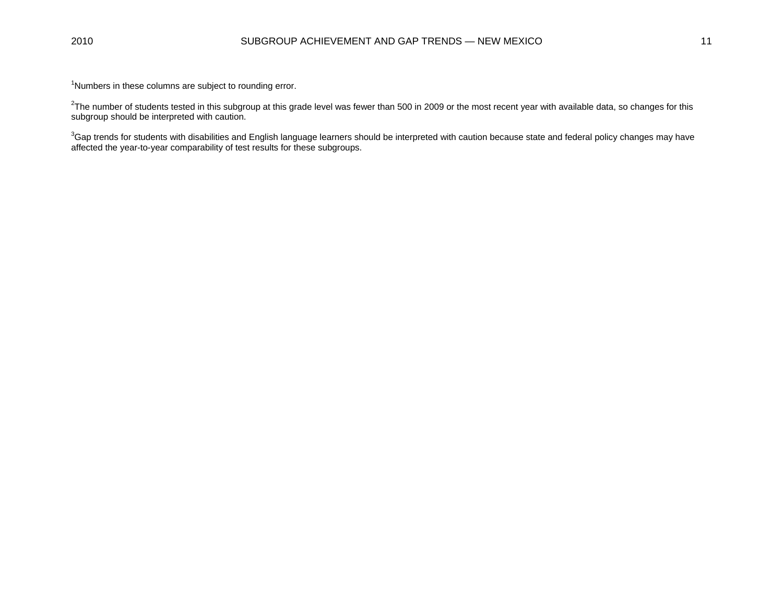<sup>1</sup>Numbers in these columns are subject to rounding error.

 $^2$ The number of students tested in this subgroup at this grade level was fewer than 500 in 2009 or the most recent year with available data, so changes for this subgroup should be interpreted with caution.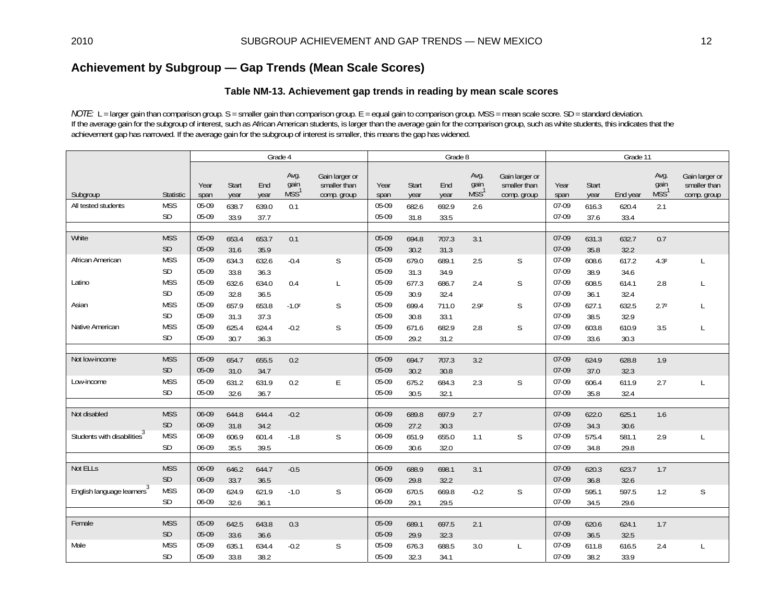# **Achievement by Subgroup — Gap Trends (Mean Scale Scores)**

### **Table NM-13. Achievement gap trends in reading by mean scale scores**

*NOTE:* L = larger gain than comparison group. S = smaller gain than comparison group. E = equal gain to comparison group. MSS = mean scale score. SD = standard deviation. If the average gain for the subgroup of interest, such as African American students, is larger than the average gain for the comparison group, such as white students, this indicates that the achievement gap has narrowed. If the average gain for the subgroup of interest is smaller, this means the gap has widened.

|                                         |            | Grade 4      |               |             |                                  |                                               |              |               | Grade 8     |                                  |                                               | Grade 11     |               |          |                                  |                                               |
|-----------------------------------------|------------|--------------|---------------|-------------|----------------------------------|-----------------------------------------------|--------------|---------------|-------------|----------------------------------|-----------------------------------------------|--------------|---------------|----------|----------------------------------|-----------------------------------------------|
| Subgroup                                | Statistic  | Year<br>span | Start<br>year | End<br>year | Avg.<br>gain<br>MSS <sup>1</sup> | Gain larger or<br>smaller than<br>comp. group | Year<br>span | Start<br>year | End<br>year | Avg.<br>gain<br>MSS <sup>1</sup> | Gain larger or<br>smaller than<br>comp. group | Year<br>span | Start<br>year | End year | Avg.<br>gain<br>MSS <sup>1</sup> | Gain larger or<br>smaller than<br>comp. group |
| All tested students                     | <b>MSS</b> | 05-09        | 638.7         | 639.0       | 0.1                              |                                               | 05-09        | 682.6         | 692.9       | 2.6                              |                                               | 07-09        | 616.3         | 620.4    | 2.1                              |                                               |
|                                         | SD         | 05-09        | 33.9          | 37.7        |                                  |                                               | 05-09        | 31.8          | 33.5        |                                  |                                               | 07-09        | 37.6          | 33.4     |                                  |                                               |
|                                         |            |              |               |             |                                  |                                               |              |               |             |                                  |                                               |              |               |          |                                  |                                               |
| White                                   | <b>MSS</b> | 05-09        | 653.4         | 653.7       | 0.1                              |                                               | 05-09        | 694.8         | 707.3       | 3.1                              |                                               | 07-09        | 631.3         | 632.7    | 0.7                              |                                               |
|                                         | <b>SD</b>  | 05-09        | 31.6          | 35.9        |                                  |                                               | 05-09        | 30.2          | 31.3        |                                  |                                               | 07-09        | 35.8          | 32.2     |                                  |                                               |
| African American                        | <b>MSS</b> | 05-09        | 634.3         | 632.6       | $-0.4$                           | S                                             | 05-09        | 679.0         | 689.1       | 2.5                              | S                                             | 07-09        | 608.6         | 617.2    | 4.3 <sup>2</sup>                 | L                                             |
|                                         | SD         | 05-09        | 33.8          | 36.3        |                                  |                                               | 05-09        | 31.3          | 34.9        |                                  |                                               | 07-09        | 38.9          | 34.6     |                                  |                                               |
| Latino                                  | <b>MSS</b> | 05-09        | 632.6         | 634.0       | 0.4                              | L                                             | 05-09        | 677.3         | 686.7       | 2.4                              | S                                             | 07-09        | 608.5         | 614.1    | 2.8                              | L                                             |
|                                         | SD         | 05-09        | 32.8          | 36.5        |                                  |                                               | 05-09        | 30.9          | 32.4        |                                  |                                               | 07-09        | 36.1          | 32.4     |                                  |                                               |
| Asian                                   | <b>MSS</b> | 05-09        | 657.9         | 653.8       | $-1.02$                          | S                                             | 05-09        | 699.4         | 711.0       | 2.9 <sup>2</sup>                 | S                                             | 07-09        | 627.1         | 632.5    | 2.7 <sup>2</sup>                 | L                                             |
|                                         | SD         | 05-09        | 31.3          | 37.3        |                                  |                                               | 05-09        | 30.8          | 33.1        |                                  |                                               | 07-09        | 38.5          | 32.9     |                                  |                                               |
| Native American                         | <b>MSS</b> | $05-09$      | 625.4         | 624.4       | $-0.2$                           | S                                             | 05-09        | 671.6         | 682.9       | 2.8                              | S                                             | 07-09        | 603.8         | 610.9    | 3.5                              | L                                             |
|                                         | <b>SD</b>  | 05-09        | 30.7          | 36.3        |                                  |                                               | 05-09        | 29.2          | 31.2        |                                  |                                               | $07-09$      | 33.6          | 30.3     |                                  |                                               |
|                                         |            |              |               |             |                                  |                                               |              |               |             |                                  |                                               |              |               |          |                                  |                                               |
| Not low-income                          | <b>MSS</b> | 05-09        | 654.7         | 655.5       | 0.2                              |                                               | 05-09        | 694.7         | 707.3       | 3.2                              |                                               | 07-09        | 624.9         | 628.8    | 1.9                              |                                               |
|                                         | SD         | 05-09        | 31.0          | 34.7        |                                  |                                               | 05-09        | 30.2          | 30.8        |                                  |                                               | 07-09        | 37.0          | 32.3     |                                  |                                               |
| Low-income                              | <b>MSS</b> | 05-09        | 631.2         | 631.9       | 0.2                              | E                                             | 05-09        | 675.2         | 684.3       | 2.3                              | S                                             | 07-09        | 606.4         | 611.9    | 2.7                              | L                                             |
|                                         | SD         | 05-09        | 32.6          | 36.7        |                                  |                                               | 05-09        | 30.5          | 32.1        |                                  |                                               | 07-09        | 35.8          | 32.4     |                                  |                                               |
|                                         |            |              |               |             |                                  |                                               |              |               |             |                                  |                                               |              |               |          |                                  |                                               |
| Not disabled                            | <b>MSS</b> | 06-09        | 644.8         | 644.4       | $-0.2$                           |                                               | 06-09        | 689.8         | 697.9       | 2.7                              |                                               | 07-09        | 622.0         | 625.1    | 1.6                              |                                               |
|                                         | SD         | 06-09        | 31.8          | 34.2        |                                  |                                               | 06-09        | 27.2          | 30.3        |                                  |                                               | 07-09        | 34.3          | 30.6     |                                  |                                               |
| Students with disabilities <sup>3</sup> | <b>MSS</b> | 06-09        | 606.9         | 601.4       | $-1.8$                           | S                                             | 06-09        | 651.9         | 655.0       | 1.1                              | S                                             | 07-09        | 575.4         | 581.1    | 2.9                              | L                                             |
|                                         | <b>SD</b>  | 06-09        | 35.5          | 39.5        |                                  |                                               | 06-09        | 30.6          | 32.0        |                                  |                                               | 07-09        | 34.8          | 29.8     |                                  |                                               |
|                                         |            |              |               |             |                                  |                                               |              |               |             |                                  |                                               |              |               |          |                                  |                                               |
| Not ELLs                                | <b>MSS</b> | 06-09        | 646.2         | 644.7       | $-0.5$                           |                                               | 06-09        | 688.9         | 698.1       | 3.1                              |                                               | 07-09        | 620.3         | 623.7    | 1.7                              |                                               |
|                                         | <b>SD</b>  | 06-09        | 33.7          | 36.5        |                                  |                                               | 06-09        | 29.8          | 32.2        |                                  |                                               | 07-09        | 36.8          | 32.6     |                                  |                                               |
| English language learners <sup>3</sup>  | <b>MSS</b> | 06-09        | 624.9         | 621.9       | $-1.0$                           | S                                             | 06-09        | 670.5         | 669.8       | $-0.2$                           | S                                             | 07-09        | 595.1         | 597.5    | 1.2                              | S                                             |
|                                         | <b>SD</b>  | 06-09        | 32.6          | 36.1        |                                  |                                               | 06-09        | 29.1          | 29.5        |                                  |                                               | 07-09        | 34.5          | 29.6     |                                  |                                               |
|                                         |            |              |               |             |                                  |                                               |              |               |             |                                  |                                               |              |               |          |                                  |                                               |
| Female                                  | <b>MSS</b> | 05-09        | 642.5         | 643.8       | 0.3                              |                                               | 05-09        | 689.1         | 697.5       | 2.1                              |                                               | 07-09        | 620.6         | 624.1    | 1.7                              |                                               |
|                                         | <b>SD</b>  | 05-09        | 33.6          | 36.6        |                                  |                                               | 05-09        | 29.9          | 32.3        |                                  |                                               | 07-09        | 36.5          | 32.5     |                                  |                                               |
| Male                                    | <b>MSS</b> | 05-09        | 635.1         | 634.4       | $-0.2$                           | S                                             | 05-09        | 676.3         | 688.5       | 3.0                              |                                               | 07-09        | 611.8         | 616.5    | 2.4                              | $\mathsf{L}$                                  |
|                                         | <b>SD</b>  | 05-09        | 33.8          | 38.2        |                                  |                                               | 05-09        | 32.3          | 34.1        |                                  |                                               | 07-09        | 38.2          | 33.9     |                                  |                                               |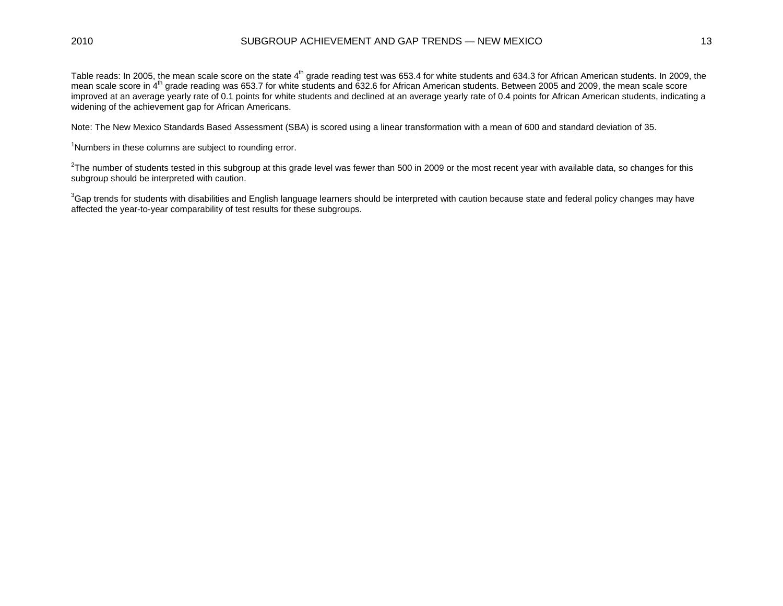#### 2010 SUBGROUP ACHIEVEMENT AND GAP TRENDS — NEW MEXICO 13

Table reads: In 2005, the mean scale score on the state 4<sup>th</sup> grade reading test was 653.4 for white students and 634.3 for African American students. In 2009, the mean scale score in 4<sup>th</sup> grade reading was 653.7 for white students and 632.6 for African American students. Between 2005 and 2009, the mean scale score improved at an average yearly rate of 0.1 points for white students and declined at an average yearly rate of 0.4 points for African American students, indicating a widening of the achievement gap for African Americans.

Note: The New Mexico Standards Based Assessment (SBA) is scored using a linear transformation with a mean of 600 and standard deviation of 35.

<sup>1</sup>Numbers in these columns are subject to rounding error.

 $2$ The number of students tested in this subgroup at this grade level was fewer than 500 in 2009 or the most recent year with available data, so changes for this subgroup should be interpreted with caution.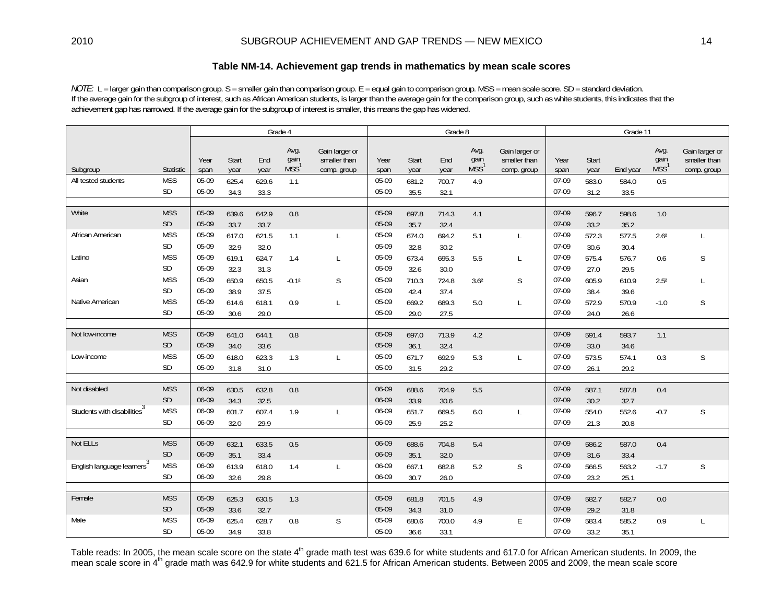### **Table NM-14. Achievement gap trends in mathematics by mean scale scores**

*NOTE:* L = larger gain than comparison group. S = smaller gain than comparison group. E = equal gain to comparison group. MSS = mean scale score. SD = standard deviation. If the average gain for the subgroup of interest, such as African American students, is larger than the average gain for the comparison group, such as white students, this indicates that the achievement gap has narrowed. If the average gain for the subgroup of interest is smaller, this means the gap has widened.

|                                         |               |                                                                                                                                   |       |       | Grade 4 |              | Grade 8      |               |             |                                  |                                               |              | Grade 11             |          |                                  |                                               |  |
|-----------------------------------------|---------------|-----------------------------------------------------------------------------------------------------------------------------------|-------|-------|---------|--------------|--------------|---------------|-------------|----------------------------------|-----------------------------------------------|--------------|----------------------|----------|----------------------------------|-----------------------------------------------|--|
| Subgroup                                | Statistic     | Avg.<br>Gain larger or<br>gain<br>Start<br>smaller than<br>End<br>Year<br>MSS <sup>®</sup><br>year<br>span<br>year<br>comp. group |       |       |         |              | Year<br>span | Start<br>year | End<br>year | Avg.<br>gain<br>MSS <sup>1</sup> | Gain larger or<br>smaller than<br>comp. group | Year<br>span | <b>Start</b><br>year | End year | Avg.<br>gain<br>MSS <sup>1</sup> | Gain larger or<br>smaller than<br>comp. group |  |
| All tested students                     | <b>MSS</b>    | 05-09                                                                                                                             | 625.4 | 629.6 | 1.1     |              | 05-09        | 681.2         | 700.7       | 4.9                              |                                               | 07-09        | 583.0                | 584.0    | 0.5                              |                                               |  |
|                                         | <b>SD</b>     | 05-09                                                                                                                             | 34.3  | 33.3  |         |              | 05-09        | 35.5          | 32.1        |                                  |                                               | 07-09        | 31.2                 | 33.5     |                                  |                                               |  |
|                                         |               |                                                                                                                                   |       |       |         |              |              |               |             |                                  |                                               |              |                      |          |                                  |                                               |  |
| White                                   | <b>MSS</b>    | 05-09                                                                                                                             | 639.6 | 642.9 | 0.8     |              | 05-09        | 697.8         | 714.3       | 4.1                              |                                               | 07-09        | 596.7                | 598.6    | 1.0                              |                                               |  |
|                                         | SD            | 05-09                                                                                                                             | 33.7  | 33.7  |         |              | 05-09        | 35.7          | 32.4        |                                  |                                               | 07-09        | 33.2                 | 35.2     |                                  |                                               |  |
| African American                        | <b>MSS</b>    | 05-09                                                                                                                             | 617.0 | 621.5 | 1.1     | L            | 05-09        | 674.0         | 694.2       | 5.1                              | L                                             | 07-09        | 572.3                | 577.5    | 2.6 <sup>2</sup>                 | L                                             |  |
|                                         | SD            | 05-09                                                                                                                             | 32.9  | 32.0  |         |              | 05-09        | 32.8          | 30.2        |                                  |                                               | 07-09        | 30.6                 | 30.4     |                                  |                                               |  |
| Latino                                  | <b>MSS</b>    | 05-09                                                                                                                             | 619.1 | 624.7 | 1.4     | $\mathsf{L}$ | 05-09        | 673.4         | 695.3       | 5.5                              | L                                             | 07-09        | 575.4                | 576.7    | 0.6                              | S                                             |  |
|                                         | <b>SD</b>     | 05-09                                                                                                                             | 32.3  | 31.3  |         |              | 05-09        | 32.6          | 30.0        |                                  |                                               | 07-09        | 27.0                 | 29.5     |                                  |                                               |  |
| Asian                                   | <b>MSS</b>    | 05-09                                                                                                                             | 650.9 | 650.5 | $-0.12$ | S            | 05-09        | 710.3         | 724.8       | 3.6 <sup>2</sup>                 | S                                             | 07-09        | 605.9                | 610.9    | 2.5 <sup>2</sup>                 | $\mathsf{L}$                                  |  |
|                                         | <b>SD</b>     | 05-09                                                                                                                             | 38.9  | 37.5  |         |              | 05-09        | 42.4          | 37.4        |                                  |                                               | 07-09        | 38.4                 | 39.6     |                                  |                                               |  |
| Native American                         | <b>MSS</b>    | 05-09                                                                                                                             | 614.6 | 618.1 | 0.9     | $\mathsf{L}$ | 05-09        | 669.2         | 689.3       | 5.0                              | L                                             | 07-09        | 572.9                | 570.9    | $-1.0$                           | S                                             |  |
|                                         | <b>SD</b>     | 05-09                                                                                                                             | 30.6  | 29.0  |         |              | 05-09        | 29.0          | 27.5        |                                  |                                               | 07-09        | 24.0                 | 26.6     |                                  |                                               |  |
|                                         |               |                                                                                                                                   |       |       |         |              |              |               |             |                                  |                                               |              |                      |          |                                  |                                               |  |
| Not low-income                          | <b>MSS</b>    | 05-09                                                                                                                             | 641.0 | 644.1 | 0.8     |              | 05-09        | 697.0         | 713.9       | $4.2\,$                          |                                               | 07-09        | 591.4                | 593.7    | 1.1                              |                                               |  |
|                                         | $\mathsf{SD}$ | 05-09                                                                                                                             | 34.0  | 33.6  |         |              | 05-09        | 36.1          | 32.4        |                                  |                                               | 07-09        | 33.0                 | 34.6     |                                  |                                               |  |
| Low-income                              | <b>MSS</b>    | 05-09                                                                                                                             | 618.0 | 623.3 | 1.3     | $\mathsf{L}$ | 05-09        | 671.7         | 692.9       | 5.3                              | L                                             | 07-09        | 573.5                | 574.1    | 0.3                              | S                                             |  |
|                                         | <b>SD</b>     | 05-09                                                                                                                             | 31.8  | 31.0  |         |              | 05-09        | 31.5          | 29.2        |                                  |                                               | 07-09        | 26.1                 | 29.2     |                                  |                                               |  |
|                                         |               |                                                                                                                                   |       |       |         |              |              |               |             |                                  |                                               |              |                      |          |                                  |                                               |  |
| Not disabled                            | <b>MSS</b>    | 06-09                                                                                                                             | 630.5 | 632.8 | 0.8     |              | 06-09        | 688.6         | 704.9       | 5.5                              |                                               | 07-09        | 587.1                | 587.8    | 0.4                              |                                               |  |
|                                         | <b>SD</b>     | 06-09                                                                                                                             | 34.3  | 32.5  |         |              | 06-09        | 33.9          | 30.6        |                                  |                                               | 07-09        | 30.2                 | 32.7     |                                  |                                               |  |
| Students with disabilities <sup>3</sup> | <b>MSS</b>    | 06-09                                                                                                                             | 601.7 | 607.4 | 1.9     | L            | 06-09        | 651.7         | 669.5       | 6.0                              | L                                             | 07-09        | 554.0                | 552.6    | $-0.7$                           | S                                             |  |
|                                         | <b>SD</b>     | 06-09                                                                                                                             | 32.0  | 29.9  |         |              | 06-09        | 25.9          | 25.2        |                                  |                                               | 07-09        | 21.3                 | 20.8     |                                  |                                               |  |
|                                         |               |                                                                                                                                   |       |       |         |              |              |               |             |                                  |                                               |              |                      |          |                                  |                                               |  |
| Not ELLs                                | <b>MSS</b>    | 06-09                                                                                                                             | 632.1 | 633.5 | 0.5     |              | 06-09        | 688.6         | 704.8       | 5.4                              |                                               | 07-09        | 586.2                | 587.0    | 0.4                              |                                               |  |
|                                         | <b>SD</b>     | 06-09                                                                                                                             | 35.1  | 33.4  |         |              | 06-09        | 35.1          | 32.0        |                                  |                                               | 07-09        | 31.6                 | 33.4     |                                  |                                               |  |
| English language learners <sup>3</sup>  | <b>MSS</b>    | 06-09                                                                                                                             | 613.9 | 618.0 | 1.4     | $\mathsf{L}$ | 06-09        | 667.1         | 682.8       | 5.2                              | $\mathsf S$                                   | 07-09        | 566.5                | 563.2    | $-1.7$                           | S                                             |  |
|                                         | SD            | 06-09                                                                                                                             | 32.6  | 29.8  |         |              | 06-09        | 30.7          | 26.0        |                                  |                                               | 07-09        | 23.2                 | 25.1     |                                  |                                               |  |
| Female                                  | <b>MSS</b>    | 05-09                                                                                                                             |       |       |         |              | 05-09        |               |             |                                  |                                               | 07-09        |                      |          |                                  |                                               |  |
|                                         | SD            | 05-09                                                                                                                             | 625.3 | 630.5 | 1.3     |              | 05-09        | 681.8         | 701.5       | 4.9                              |                                               | 07-09        | 582.7                | 582.7    | $0.0\,$                          |                                               |  |
| Male                                    | <b>MSS</b>    | 05-09                                                                                                                             | 33.6  | 32.7  |         |              | 05-09        | 34.3          | 31.0        |                                  |                                               | 07-09        | 29.2                 | 31.8     |                                  |                                               |  |
|                                         | <b>SD</b>     |                                                                                                                                   | 625.4 | 628.7 | 0.8     | S            | 05-09        | 680.6         | 700.0       | 4.9                              | E                                             | 07-09        | 583.4                | 585.2    | 0.9                              |                                               |  |
|                                         |               | 05-09                                                                                                                             | 34.9  | 33.8  |         |              |              | 36.6          | 33.1        |                                  |                                               |              | 33.2                 | 35.1     |                                  |                                               |  |

Table reads: In 2005, the mean scale score on the state 4<sup>th</sup> grade math test was 639.6 for white students and 617.0 for African American students. In 2009, the mean scale score in 4<sup>th</sup> grade math was 642.9 for white students and 621.5 for African American students. Between 2005 and 2009, the mean scale score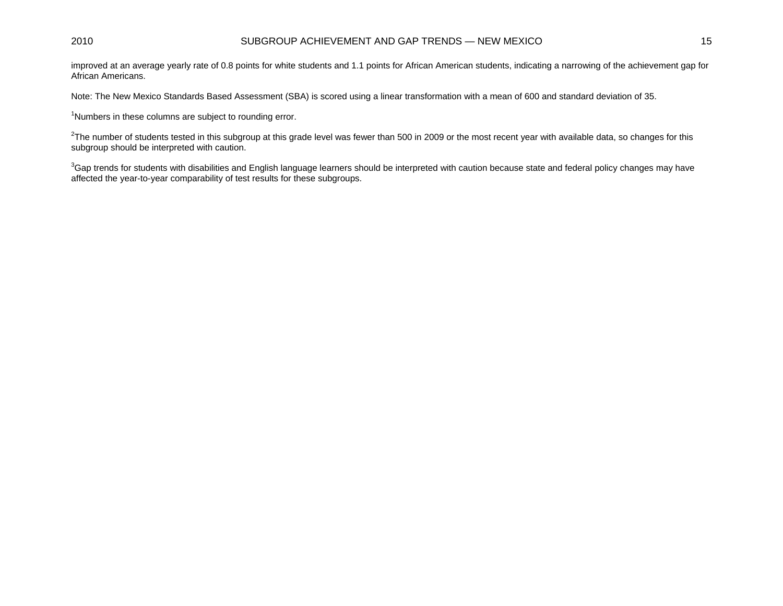### 2010 SUBGROUP ACHIEVEMENT AND GAP TRENDS — NEW MEXICO 15

improved at an average yearly rate of 0.8 points for white students and 1.1 points for African American students, indicating a narrowing of the achievement gap for African Americans.

Note: The New Mexico Standards Based Assessment (SBA) is scored using a linear transformation with a mean of 600 and standard deviation of 35.

<sup>1</sup>Numbers in these columns are subject to rounding error.

 $2$ The number of students tested in this subgroup at this grade level was fewer than 500 in 2009 or the most recent year with available data, so changes for this subgroup should be interpreted with caution.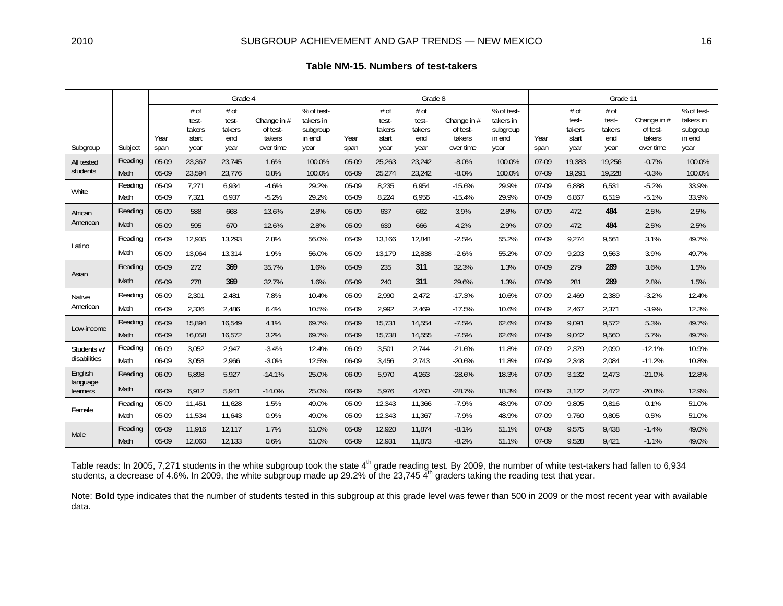|  | Table NM-15. Numbers of test-takers |  |
|--|-------------------------------------|--|
|--|-------------------------------------|--|

|                      |         |              |                                          | Grade 4                                |                                                |                                                       |              |                                          | Grade 8                                |                                                |                                                       | Grade 11     |                                          |                                        |                                                |                                                       |  |
|----------------------|---------|--------------|------------------------------------------|----------------------------------------|------------------------------------------------|-------------------------------------------------------|--------------|------------------------------------------|----------------------------------------|------------------------------------------------|-------------------------------------------------------|--------------|------------------------------------------|----------------------------------------|------------------------------------------------|-------------------------------------------------------|--|
| Subgroup             | Subject | Year<br>span | # of<br>test-<br>takers<br>start<br>year | # of<br>test-<br>takers<br>end<br>year | Change in #<br>of test-<br>takers<br>over time | % of test-<br>takers in<br>subgroup<br>in end<br>year | Year<br>span | # of<br>test-<br>takers<br>start<br>year | # of<br>test-<br>takers<br>end<br>year | Change in #<br>of test-<br>takers<br>over time | % of test-<br>takers in<br>subgroup<br>in end<br>year | Year<br>span | # of<br>test-<br>takers<br>start<br>year | # of<br>test-<br>takers<br>end<br>year | Change in #<br>of test-<br>takers<br>over time | % of test-<br>takers in<br>subgroup<br>in end<br>year |  |
| All tested           | Reading | 05-09        | 23,367                                   | 23,745                                 | 1.6%                                           | 100.0%                                                | 05-09        | 25,263                                   | 23,242                                 | $-8.0%$                                        | 100.0%                                                | 07-09        | 19,383                                   | 19,256                                 | $-0.7%$                                        | 100.0%                                                |  |
| students             | Math    | 05-09        | 23,594                                   | 23,776                                 | 0.8%                                           | 100.0%                                                | 05-09        | 25,274                                   | 23,242                                 | $-8.0%$                                        | 100.0%                                                | $07-09$      | 19,291                                   | 19,228                                 | $-0.3%$                                        | 100.0%                                                |  |
| White                | Reading | 05-09        | 7,271                                    | 6,934                                  | $-4.6%$                                        | 29.2%                                                 | 05-09        | 8,235                                    | 6,954                                  | $-15.6%$                                       | 29.9%                                                 | 07-09        | 6,888                                    | 6,531                                  | $-5.2%$                                        | 33.9%                                                 |  |
|                      | Math    | 05-09        | 7,321                                    | 6,937                                  | $-5.2%$                                        | 29.2%                                                 | 05-09        | 8,224                                    | 6,956                                  | $-15.4%$                                       | 29.9%                                                 | 07-09        | 6,867                                    | 6,519                                  | $-5.1%$                                        | 33.9%                                                 |  |
| African              | Reading | 05-09        | 588                                      | 668                                    | 13.6%                                          | 2.8%                                                  | $05-09$      | 637                                      | 662                                    | 3.9%                                           | 2.8%                                                  | $07-09$      | 472                                      | 484                                    | 2.5%                                           | 2.5%                                                  |  |
| American             | Math    | 05-09        | 595                                      | 670                                    | 12.6%                                          | 2.8%                                                  | 05-09        | 639                                      | 666                                    | 4.2%                                           | 2.9%                                                  | $07-09$      | 472                                      | 484                                    | 2.5%                                           | 2.5%                                                  |  |
|                      | Reading | 05-09        | 12,935                                   | 13,293                                 | 2.8%                                           | 56.0%                                                 | 05-09        | 13,166                                   | 12,841                                 | $-2.5%$                                        | 55.2%                                                 | 07-09        | 9,274                                    | 9,561                                  | 3.1%                                           | 49.7%                                                 |  |
| Latino               | Math    | 05-09        | 13,064                                   | 13,314                                 | 1.9%                                           | 56.0%                                                 | 05-09        | 13,179                                   | 12,838                                 | $-2.6%$                                        | 55.2%                                                 | 07-09        | 9,203                                    | 9,563                                  | 3.9%                                           | 49.7%                                                 |  |
|                      | Reading | 05-09        | 272                                      | 369                                    | 35.7%                                          | 1.6%                                                  | 05-09        | 235                                      | 311                                    | 32.3%                                          | 1.3%                                                  | $07-09$      | 279                                      | 289                                    | 3.6%                                           | 1.5%                                                  |  |
| Asian                | Math    | 05-09        | 278                                      | 369                                    | 32.7%                                          | 1.6%                                                  | 05-09        | 240                                      | 311                                    | 29.6%                                          | 1.3%                                                  | $07-09$      | 281                                      | 289                                    | 2.8%                                           | 1.5%                                                  |  |
| Native               | Reading | 05-09        | 2,301                                    | 2,481                                  | 7.8%                                           | 10.4%                                                 | 05-09        | 2,990                                    | 2,472                                  | $-17.3%$                                       | 10.6%                                                 | 07-09        | 2,469                                    | 2,389                                  | $-3.2%$                                        | 12.4%                                                 |  |
| American             | Math    | 05-09        | 2,336                                    | 2,486                                  | 6.4%                                           | 10.5%                                                 | 05-09        | 2,992                                    | 2,469                                  | $-17.5%$                                       | 10.6%                                                 | 07-09        | 2,467                                    | 2,371                                  | $-3.9%$                                        | 12.3%                                                 |  |
|                      | Reading | 05-09        | 15,894                                   | 16,549                                 | 4.1%                                           | 69.7%                                                 | 05-09        | 15,731                                   | 14,554                                 | $-7.5%$                                        | 62.6%                                                 | $07-09$      | 9,091                                    | 9,572                                  | 5.3%                                           | 49.7%                                                 |  |
| Low-income           | Math    | 05-09        | 16,058                                   | 16,572                                 | 3.2%                                           | 69.7%                                                 | $05-09$      | 15,738                                   | 14,555                                 | $-7.5%$                                        | 62.6%                                                 | 07-09        | 9,042                                    | 9,560                                  | 5.7%                                           | 49.7%                                                 |  |
| Students w/          | Reading | 06-09        | 3,052                                    | 2,947                                  | $-3.4%$                                        | 12.4%                                                 | 06-09        | 3,501                                    | 2,744                                  | $-21.6%$                                       | 11.8%                                                 | 07-09        | 2,379                                    | 2,090                                  | $-12.1%$                                       | 10.9%                                                 |  |
| disabilities         | Math    | 06-09        | 3,058                                    | 2,966                                  | $-3.0%$                                        | 12.5%                                                 | 06-09        | 3,456                                    | 2,743                                  | $-20.6%$                                       | 11.8%                                                 | 07-09        | 2,348                                    | 2,084                                  | $-11.2%$                                       | 10.8%                                                 |  |
| English              | Reading | 06-09        | 6,898                                    | 5,927                                  | $-14.1%$                                       | 25.0%                                                 | 06-09        | 5,970                                    | 4,263                                  | $-28.6%$                                       | 18.3%                                                 | $07-09$      | 3,132                                    | 2,473                                  | $-21.0%$                                       | 12.8%                                                 |  |
| language<br>learners | Math    | 06-09        | 6.912                                    | 5.941                                  | $-14.0%$                                       | 25.0%                                                 | 06-09        | 5,976                                    | 4,260                                  | $-28.7%$                                       | 18.3%                                                 | $07-09$      | 3,122                                    | 2,472                                  | $-20.8%$                                       | 12.9%                                                 |  |
|                      | Reading | 05-09        | 11,451                                   | 11,628                                 | 1.5%                                           | 49.0%                                                 | 05-09        | 12,343                                   | 11,366                                 | $-7.9%$                                        | 48.9%                                                 | 07-09        | 9,805                                    | 9,816                                  | 0.1%                                           | 51.0%                                                 |  |
| Female               | Math    | 05-09        | 11,534                                   | 11,643                                 | 0.9%                                           | 49.0%                                                 | 05-09        | 12,343                                   | 11,367                                 | $-7.9%$                                        | 48.9%                                                 | 07-09        | 9,760                                    | 9,805                                  | 0.5%                                           | 51.0%                                                 |  |
| Male                 | Reading | 05-09        | 11,916                                   | 12,117                                 | 1.7%                                           | 51.0%                                                 | 05-09        | 12,920                                   | 11,874                                 | $-8.1%$                                        | 51.1%                                                 | $07-09$      | 9,575                                    | 9,438                                  | $-1.4%$                                        | 49.0%                                                 |  |
|                      | Math    | 05-09        | 12,060                                   | 12,133                                 | 0.6%                                           | 51.0%                                                 | 05-09        | 12,931                                   | 11,873                                 | $-8.2%$                                        | 51.1%                                                 | $07-09$      | 9,528                                    | 9,421                                  | $-1.1%$                                        | 49.0%                                                 |  |

Table reads: In 2005, 7,271 students in the white subgroup took the state 4<sup>th</sup> grade reading test. By 2009, the number of white test-takers had fallen to 6,934 students, a decrease of 4.6%. In 2009, the white subgroup made up 29.2% of the 23,745  $\tilde{4}^{th}$  graders taking the reading test that year.

Note: Bold type indicates that the number of students tested in this subgroup at this grade level was fewer than 500 in 2009 or the most recent year with available data.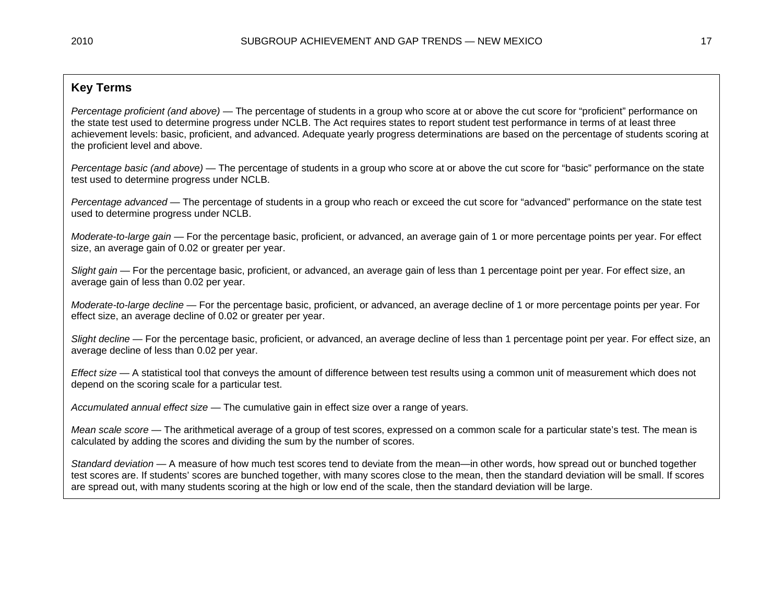## **Key Terms**

*Percentage proficient (and above)* — The percentage of students in a group who score at or above the cut score for "proficient" performance on the state test used to determine progress under NCLB. The Act requires states to report student test performance in terms of at least three achievement levels: basic, proficient, and advanced. Adequate yearly progress determinations are based on the percentage of students scoring at the proficient level and above.

*Percentage basic (and above)* — The percentage of students in a group who score at or above the cut score for "basic" performance on the state test used to determine progress under NCLB.

*Percentage advanced* — The percentage of students in a group who reach or exceed the cut score for "advanced" performance on the state test used to determine progress under NCLB.

*Moderate-to-large gain* — For the percentage basic, proficient, or advanced, an average gain of 1 or more percentage points per year. For effect size, an average gain of 0.02 or greater per year.

*Slight gain* — For the percentage basic, proficient, or advanced, an average gain of less than 1 percentage point per year. For effect size, an average gain of less than 0.02 per year.

*Moderate-to-large decline* — For the percentage basic, proficient, or advanced, an average decline of 1 or more percentage points per year. For effect size, an average decline of 0.02 or greater per year.

*Slight decline* — For the percentage basic, proficient, or advanced, an average decline of less than 1 percentage point per year. For effect size, an average decline of less than 0.02 per year.

*Effect size* — A statistical tool that conveys the amount of difference between test results using a common unit of measurement which does not depend on the scoring scale for a particular test.

*Accumulated annual effect size* — The cumulative gain in effect size over a range of years.

*Mean scale score* — The arithmetical average of a group of test scores, expressed on a common scale for a particular state's test. The mean is calculated by adding the scores and dividing the sum by the number of scores.

*Standard deviation* — A measure of how much test scores tend to deviate from the mean—in other words, how spread out or bunched together test scores are. If students' scores are bunched together, with many scores close to the mean, then the standard deviation will be small. If scores are spread out, with many students scoring at the high or low end of the scale, then the standard deviation will be large.